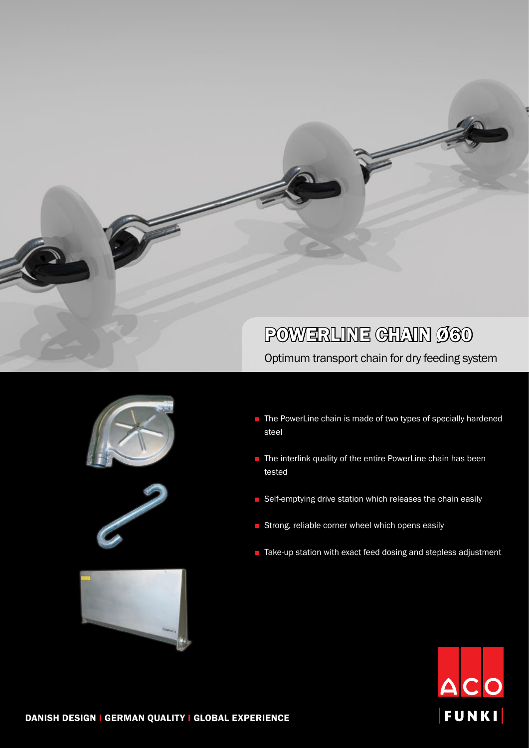## POWERLINE GHAIN Ø60

Optimum transport chain for dry feeding system





- The PowerLine chain is made of two types of specially hardened steel
- The interlink quality of the entire PowerLine chain has been tested
- Self-emptying drive station which releases the chain easily
- Strong, reliable corner wheel which opens easily
- Take-up station with exact feed dosing and stepless adjustment